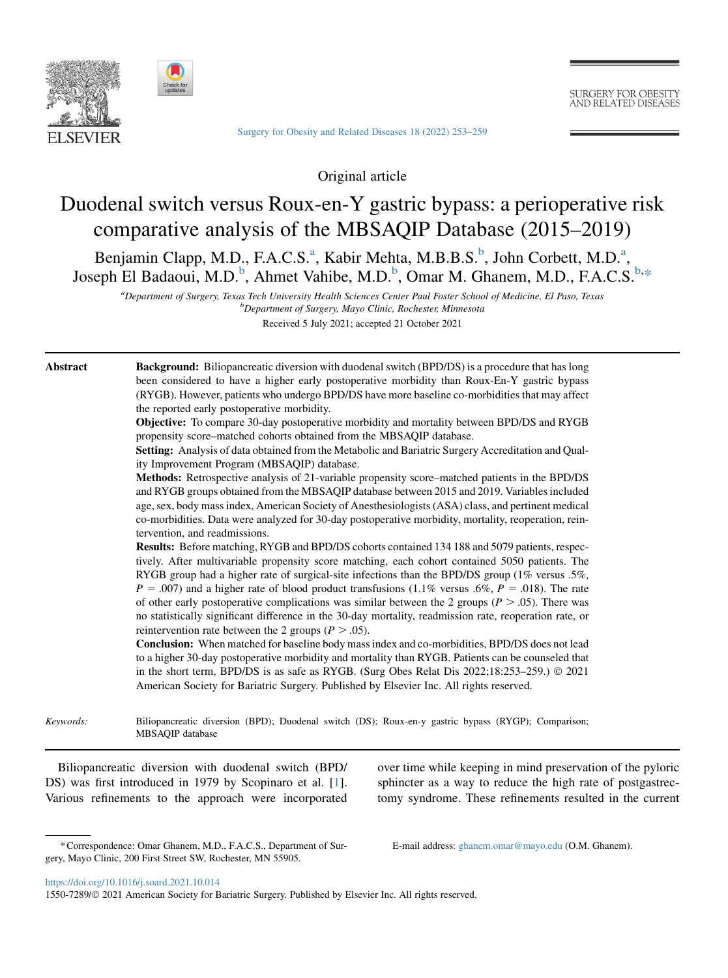



[Surgery for Obesity and Related Diseases 18 \(2022\) 253–259](https://doi.org/10.1016/j.soard.2021.10.014)

**SURGERY FOR OBESITY** AND RELATED DISEASES

Original article

# Duodenal switch versus Roux-en-Y gastric bypass: a perioperative risk comparative analysis of the MBSAQIP Database (2015–2019)

<span id="page-0-1"></span><span id="page-0-0"></span>Benj[a](#page-0-0)min Clapp, M.D., F.A.C.S.<sup>a</sup>, Ka[b](#page-0-1)ir Mehta, M.B.B.S.<sup>b</sup>, John Corbett, M.D.<sup>a</sup>, Joseph El Badaoui, M.D.<sup>[b](#page-0-1)</sup>, Ahmet Vahibe, M.D.<sup>b</sup>, Omar M. Ghanem, M.D., F.A.C.S.<sup>b.[\\*](#page-0-2)</sup>

<sup>a</sup> Department of Surgery, Texas Tech University Health Sciences Center Paul Foster School of Medicine, El Paso, Texas<br>b Department of Surgery, Mayo Clinic, Rochester Minnesota Department of Surgery, Mayo Clinic, Rochester, Minnesota Received 5 July 2021; accepted 21 October 2021

Abstract Background: Biliopancreatic diversion with duodenal switch (BPD/DS) is a procedure that has long been considered to have a higher early postoperative morbidity than Roux-En-Y gastric bypass (RYGB). However, patients who undergo BPD/DS have more baseline co-morbidities that may affect the reported early postoperative morbidity.

> Objective: To compare 30-day postoperative morbidity and mortality between BPD/DS and RYGB propensity score–matched cohorts obtained from the MBSAQIP database.

> Setting: Analysis of data obtained from the Metabolic and Bariatric Surgery Accreditation and Quality Improvement Program (MBSAQIP) database.

> Methods: Retrospective analysis of 21-variable propensity score–matched patients in the BPD/DS and RYGB groups obtained from the MBSAQIP database between 2015 and 2019. Variables included age, sex, body mass index, American Society of Anesthesiologists (ASA) class, and pertinent medical co-morbidities. Data were analyzed for 30-day postoperative morbidity, mortality, reoperation, reintervention, and readmissions.

> Results: Before matching, RYGB and BPD/DS cohorts contained 134 188 and 5079 patients, respectively. After multivariable propensity score matching, each cohort contained 5050 patients. The RYGB group had a higher rate of surgical-site infections than the BPD/DS group (1% versus .5%,  $P = .007$ ) and a higher rate of blood product transfusions (1.1% versus .6%,  $P = .018$ ). The rate of other early postoperative complications was similar between the 2 groups ( $P > .05$ ). There was no statistically significant difference in the 30-day mortality, readmission rate, reoperation rate, or reintervention rate between the 2 groups ( $P > .05$ ).

> Conclusion: When matched for baseline body mass index and co-morbidities, BPD/DS does not lead to a higher 30-day postoperative morbidity and mortality than RYGB. Patients can be counseled that in the short term, BPD/DS is as safe as RYGB. (Surg Obes Relat Dis  $2022;18:253-259.$ )  $\odot$   $2021$ American Society for Bariatric Surgery. Published by Elsevier Inc. All rights reserved.

Keywords: Biliopancreatic diversion (BPD); Duodenal switch (DS); Roux-en-y gastric bypass (RYGP); Comparison; MBSAQIP database

Biliopancreatic diversion with duodenal switch (BPD/ DS) was first introduced in 1979 by Scopinaro et al. [\[1](#page-5-0)]. Various refinements to the approach were incorporated over time while keeping in mind preservation of the pyloric sphincter as a way to reduce the high rate of postgastrectomy syndrome. These refinements resulted in the current

E-mail address: [ghanem.omar@mayo.edu](mailto:ghanem.omar@mayo.edu) (O.M. Ghanem).

<span id="page-0-2"></span><sup>\*</sup>Correspondence: Omar Ghanem, M.D., F.A.C.S., Department of Surgery, Mayo Clinic, 200 First Street SW, Rochester, MN 55905.

<https://doi.org/10.1016/j.soard.2021.10.014>

<sup>1550-7289/© 2021</sup> American Society for Bariatric Surgery. Published by Elsevier Inc. All rights reserved.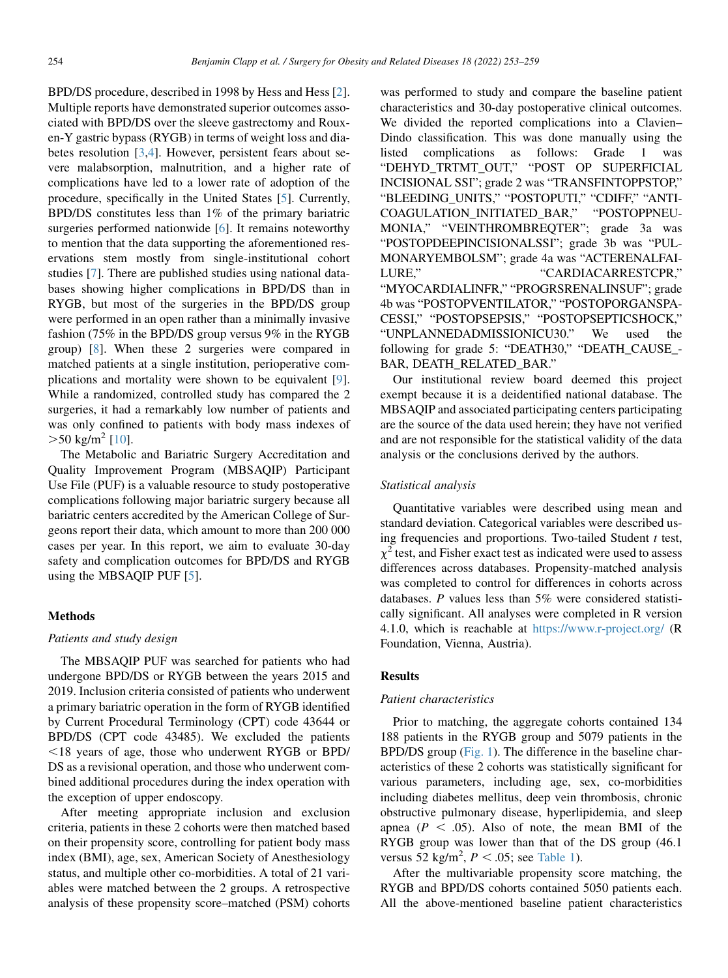BPD/DS procedure, described in 1998 by Hess and Hess [\[2](#page-5-1)]. Multiple reports have demonstrated superior outcomes associated with BPD/DS over the sleeve gastrectomy and Rouxen-Y gastric bypass (RYGB) in terms of weight loss and diabetes resolution [[3,](#page-5-2)[4](#page-5-3)]. However, persistent fears about severe malabsorption, malnutrition, and a higher rate of complications have led to a lower rate of adoption of the procedure, specifically in the United States [\[5](#page-5-4)]. Currently, BPD/DS constitutes less than 1% of the primary bariatric surgeries performed nationwide [\[6](#page-5-5)]. It remains noteworthy to mention that the data supporting the aforementioned reservations stem mostly from single-institutional cohort studies [[7\]](#page-5-6). There are published studies using national databases showing higher complications in BPD/DS than in RYGB, but most of the surgeries in the BPD/DS group were performed in an open rather than a minimally invasive fashion (75% in the BPD/DS group versus 9% in the RYGB group) [[8\]](#page-5-7). When these 2 surgeries were compared in matched patients at a single institution, perioperative complications and mortality were shown to be equivalent [\[9](#page-5-8)]. While a randomized, controlled study has compared the 2 surgeries, it had a remarkably low number of patients and was only confined to patients with body mass indexes of  $>50 \text{ kg/m}^2$  [\[10\]](#page-5-9).

The Metabolic and Bariatric Surgery Accreditation and Quality Improvement Program (MBSAQIP) Participant Use File (PUF) is a valuable resource to study postoperative complications following major bariatric surgery because all bariatric centers accredited by the American College of Surgeons report their data, which amount to more than 200 000 cases per year. In this report, we aim to evaluate 30-day safety and complication outcomes for BPD/DS and RYGB using the MBSAQIP PUF [\[5](#page-5-4)].

# Methods

# Patients and study design

The MBSAQIP PUF was searched for patients who had undergone BPD/DS or RYGB between the years 2015 and 2019. Inclusion criteria consisted of patients who underwent a primary bariatric operation in the form of RYGB identified by Current Procedural Terminology (CPT) code 43644 or BPD/DS (CPT code 43485). We excluded the patients  $\le$ 18 years of age, those who underwent RYGB or BPD/ DS as a revisional operation, and those who underwent combined additional procedures during the index operation with the exception of upper endoscopy.

After meeting appropriate inclusion and exclusion criteria, patients in these 2 cohorts were then matched based on their propensity score, controlling for patient body mass index (BMI), age, sex, American Society of Anesthesiology status, and multiple other co-morbidities. A total of 21 variables were matched between the 2 groups. A retrospective analysis of these propensity score–matched (PSM) cohorts

was performed to study and compare the baseline patient characteristics and 30-day postoperative clinical outcomes. We divided the reported complications into a Clavien– Dindo classification. This was done manually using the listed complications as follows: Grade 1 was "DEHYD\_TRTMT\_OUT," "POST OP SUPERFICIAL INCISIONAL SSI"; grade 2 was "TRANSFINTOPPSTOP," "BLEEDING\_UNITS," "POSTOPUTI," "CDIFF," "ANTI-COAGULATION\_INITIATED\_BAR," "POSTOPPNEU-MONIA," "VEINTHROMBREQTER"; grade 3a was "POSTOPDEEPINCISIONALSSI"; grade 3b was "PUL-MONARYEMBOLSM"; grade 4a was "ACTERENALFAI-LURE," "CARDIACARRESTCPR," "MYOCARDIALINFR," "PROGRSRENALINSUF"; grade 4b was "POSTOPVENTILATOR," "POSTOPORGANSPA-CESSI," "POSTOPSEPSIS," "POSTOPSEPTICSHOCK," "UNPLANNEDADMISSIONICU30." We used the following for grade 5: "DEATH30," "DEATH\_CAUSE\_- BAR, DEATH\_RELATED\_BAR."

Our institutional review board deemed this project exempt because it is a deidentified national database. The MBSAQIP and associated participating centers participating are the source of the data used herein; they have not verified and are not responsible for the statistical validity of the data analysis or the conclusions derived by the authors.

### Statistical analysis

Quantitative variables were described using mean and standard deviation. Categorical variables were described using frequencies and proportions. Two-tailed Student  $t$  test,  $\chi^2$  test, and Fisher exact test as indicated were used to assess differences across databases. Propensity-matched analysis was completed to control for differences in cohorts across databases.  $P$  values less than 5% were considered statistically significant. All analyses were completed in R version 4.1.0, which is reachable at <https://www.r-project.org/> (R Foundation, Vienna, Austria).

## **Results**

# Patient characteristics

Prior to matching, the aggregate cohorts contained 134 188 patients in the RYGB group and 5079 patients in the BPD/DS group [\(Fig. 1\)](#page-2-0). The difference in the baseline characteristics of these 2 cohorts was statistically significant for various parameters, including age, sex, co-morbidities including diabetes mellitus, deep vein thrombosis, chronic obstructive pulmonary disease, hyperlipidemia, and sleep apnea ( $P < .05$ ). Also of note, the mean BMI of the RYGB group was lower than that of the DS group (46.1 versus  $52 \text{ kg/m}^2$ ,  $P < .05$ ; see [Table 1\)](#page-3-0).

After the multivariable propensity score matching, the RYGB and BPD/DS cohorts contained 5050 patients each. All the above-mentioned baseline patient characteristics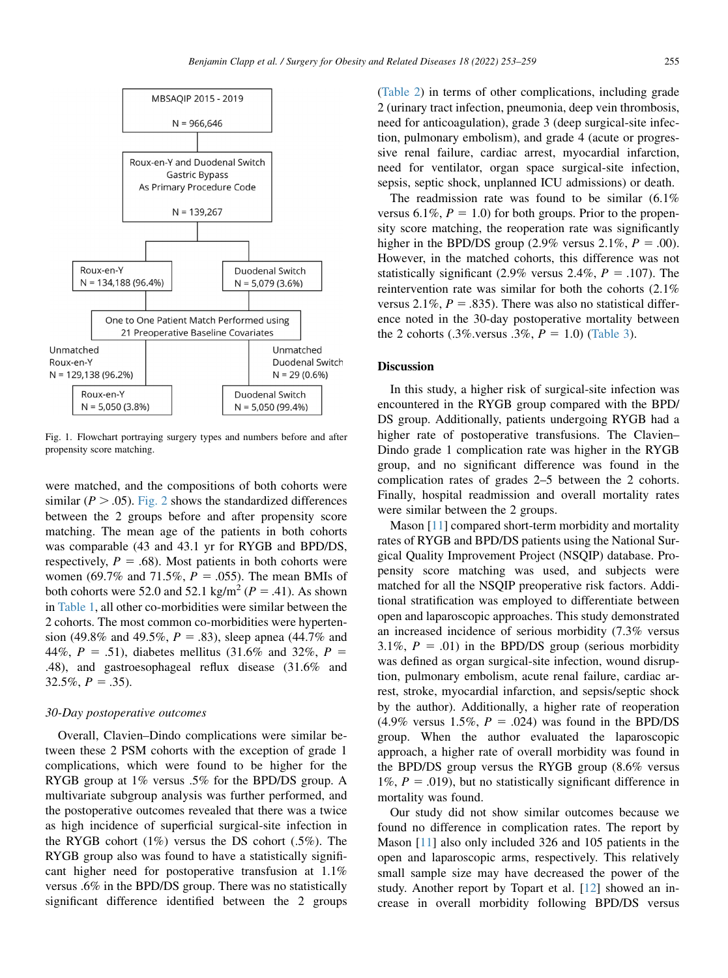<span id="page-2-0"></span>

 $N = 129,138(96.2%)$  $N = 29(0.6%)$ Roux-en-Y Duodenal Switch  $N = 5,050(3.8%)$  $N = 5,050(99.4%)$ 

Fig. 1. Flowchart portraying surgery types and numbers before and after propensity score matching.

were matched, and the compositions of both cohorts were similar ( $P > .05$ ). [Fig. 2](#page-3-1) shows the standardized differences between the 2 groups before and after propensity score matching. The mean age of the patients in both cohorts was comparable (43 and 43.1 yr for RYGB and BPD/DS, respectively,  $P = .68$ ). Most patients in both cohorts were women (69.7% and 71.5%,  $P = .055$ ). The mean BMIs of both cohorts were 52.0 and 52.1 kg/m<sup>2</sup> ( $P = .41$ ). As shown in [Table 1](#page-3-0), all other co-morbidities were similar between the 2 cohorts. The most common co-morbidities were hypertension (49.8% and 49.5%,  $P = .83$ ), sleep apnea (44.7% and 44%,  $P = .51$ ), diabetes mellitus (31.6% and 32%,  $P =$ .48), and gastroesophageal reflux disease (31.6% and  $32.5\%, P = .35$ ).

#### 30-Day postoperative outcomes

Overall, Clavien–Dindo complications were similar between these 2 PSM cohorts with the exception of grade 1 complications, which were found to be higher for the RYGB group at 1% versus .5% for the BPD/DS group. A multivariate subgroup analysis was further performed, and the postoperative outcomes revealed that there was a twice as high incidence of superficial surgical-site infection in the RYGB cohort (1%) versus the DS cohort (.5%). The RYGB group also was found to have a statistically significant higher need for postoperative transfusion at 1.1% versus .6% in the BPD/DS group. There was no statistically significant difference identified between the 2 groups

[\(Table 2\)](#page-4-0) in terms of other complications, including grade 2 (urinary tract infection, pneumonia, deep vein thrombosis, need for anticoagulation), grade 3 (deep surgical-site infection, pulmonary embolism), and grade 4 (acute or progressive renal failure, cardiac arrest, myocardial infarction, need for ventilator, organ space surgical-site infection, sepsis, septic shock, unplanned ICU admissions) or death.

The readmission rate was found to be similar (6.1% versus 6.1%,  $P = 1.0$ ) for both groups. Prior to the propensity score matching, the reoperation rate was significantly higher in the BPD/DS group (2.9% versus 2.1%,  $P = .00$ ). However, in the matched cohorts, this difference was not statistically significant (2.9% versus 2.4%,  $P = .107$ ). The reintervention rate was similar for both the cohorts (2.1% versus 2.1%,  $P = .835$ ). There was also no statistical difference noted in the 30-day postoperative mortality between the 2 cohorts (.3% versus .3%,  $P = 1.0$ ) [\(Table 3\)](#page-4-1).

# Discussion

In this study, a higher risk of surgical-site infection was encountered in the RYGB group compared with the BPD/ DS group. Additionally, patients undergoing RYGB had a higher rate of postoperative transfusions. The Clavien– Dindo grade 1 complication rate was higher in the RYGB group, and no significant difference was found in the complication rates of grades 2–5 between the 2 cohorts. Finally, hospital readmission and overall mortality rates were similar between the 2 groups.

Mason [[11](#page-5-10)] compared short-term morbidity and mortality rates of RYGB and BPD/DS patients using the National Surgical Quality Improvement Project (NSQIP) database. Propensity score matching was used, and subjects were matched for all the NSQIP preoperative risk factors. Additional stratification was employed to differentiate between open and laparoscopic approaches. This study demonstrated an increased incidence of serious morbidity (7.3% versus 3.1%,  $P = .01$ ) in the BPD/DS group (serious morbidity was defined as organ surgical-site infection, wound disruption, pulmonary embolism, acute renal failure, cardiac arrest, stroke, myocardial infarction, and sepsis/septic shock by the author). Additionally, a higher rate of reoperation  $(4.9\%$  versus 1.5%,  $P = .024$ ) was found in the BPD/DS group. When the author evaluated the laparoscopic approach, a higher rate of overall morbidity was found in the BPD/DS group versus the RYGB group (8.6% versus 1%,  $P = .019$ ), but no statistically significant difference in mortality was found.

Our study did not show similar outcomes because we found no difference in complication rates. The report by Mason [\[11](#page-5-10)] also only included 326 and 105 patients in the open and laparoscopic arms, respectively. This relatively small sample size may have decreased the power of the study. Another report by Topart et al. [\[12](#page-5-11)] showed an increase in overall morbidity following BPD/DS versus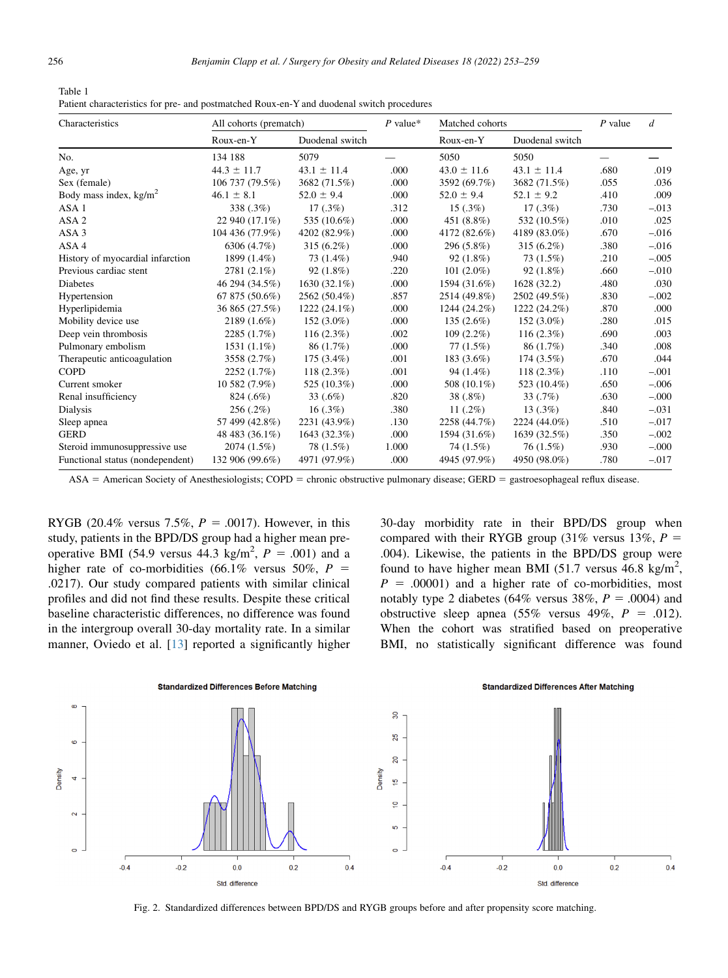<span id="page-3-0"></span>

| Table 1                                                                                   |
|-------------------------------------------------------------------------------------------|
| Patient characteristics for pre- and postmatched Roux-en-Y and duodenal switch procedures |

| Characteristics                  | All cohorts (prematch) |                 | $P$ value* | Matched cohorts |                 | $P$ value | d       |
|----------------------------------|------------------------|-----------------|------------|-----------------|-----------------|-----------|---------|
|                                  | Roux-en-Y              | Duodenal switch |            | Roux-en-Y       | Duodenal switch |           |         |
| No.                              | 134 188                | 5079            |            | 5050            | 5050            |           |         |
| Age, yr                          | $44.3 \pm 11.7$        | $43.1 \pm 11.4$ | .000       | $43.0 \pm 11.6$ | $43.1 \pm 11.4$ | .680      | .019    |
| Sex (female)                     | 106 737 (79.5%)        | 3682 (71.5%)    | .000       | 3592 (69.7%)    | 3682 (71.5%)    | .055      | .036    |
| Body mass index, $kg/m^2$        | $46.1 \pm 8.1$         | $52.0 \pm 9.4$  | .000       | $52.0 \pm 9.4$  | $52.1 \pm 9.2$  | .410      | .009    |
| ASA <sub>1</sub>                 | 338 (.3%)              | $17(.3\%)$      | .312       | $15(.3\%)$      | $17(.3\%)$      | .730      | $-.013$ |
| ASA <sub>2</sub>                 | 22 940 (17.1%)         | 535 (10.6%)     | .000       | 451 (8.8%)      | 532 (10.5%)     | .010      | .025    |
| ASA <sub>3</sub>                 | 104 436 (77.9%)        | 4202 (82.9%)    | .000       | 4172 (82.6%)    | 4189 (83.0%)    | .670      | $-.016$ |
| ASA4                             | 6306 (4.7%)            | $315(6.2\%)$    | .000       | 296 (5.8%)      | $315(6.2\%)$    | .380      | $-.016$ |
| History of myocardial infarction | 1899 (1.4%)            | 73 (1.4%)       | .940       | $92(1.8\%)$     | 73 (1.5%)       | .210      | $-.005$ |
| Previous cardiac stent           | 2781 (2.1%)            | $92(1.8\%)$     | .220       | $101(2.0\%)$    | $92(1.8\%)$     | .660      | $-.010$ |
| Diabetes                         | 46 294 (34.5%)         | $1630(32.1\%)$  | .000       | 1594 (31.6%)    | 1628 (32.2)     | .480      | .030    |
| Hypertension                     | 67 875 (50.6%)         | 2562 (50.4%)    | .857       | 2514 (49.8%)    | 2502 (49.5%)    | .830      | $-.002$ |
| Hyperlipidemia                   | 36 865 (27.5%)         | $1222(24.1\%)$  | .000       | $1244(24.2\%)$  | 1222 (24.2%)    | .870      | .000    |
| Mobility device use              | $2189(1.6\%)$          | $152(3.0\%)$    | .000       | $135(2.6\%)$    | $152(3.0\%)$    | .280      | .015    |
| Deep vein thrombosis             | 2285 (1.7%)            | $116(2.3\%)$    | .002       | $109(2.2\%)$    | $116(2.3\%)$    | .690      | .003    |
| Pulmonary embolism               | $1531(1.1\%)$          | 86 (1.7%)       | .000       | 77(1.5%)        | 86 (1.7%)       | .340      | .008    |
| Therapeutic anticoagulation      | 3558 (2.7%)            | $175(3.4\%)$    | .001       | 183 (3.6%)      | 174 (3.5%)      | .670      | .044    |
| <b>COPD</b>                      | 2252 (1.7%)            | $118(2.3\%)$    | .001       | 94 $(1.4\%)$    | $118(2.3\%)$    | .110      | $-.001$ |
| Current smoker                   | 10 582 (7.9%)          | 525 (10.3%)     | .000       | 508 (10.1%)     | 523 (10.4%)     | .650      | $-.006$ |
| Renal insufficiency              | 824 (.6%)              | 33 $(.6\%)$     | .820       | 38 (.8%)        | $33(0.7\%)$     | .630      | $-.000$ |
| Dialysis                         | $256(.2\%)$            | 16(.3%)         | .380       | 11 $(.2\%)$     | $13(.3\%)$      | .840      | $-.031$ |
| Sleep apnea                      | 57 499 (42.8%)         | 2231 (43.9%)    | .130       | 2258 (44.7%)    | 2224 (44.0%)    | .510      | $-.017$ |
| <b>GERD</b>                      | 48 483 (36.1%)         | 1643 (32.3%)    | .000       | 1594 (31.6%)    | 1639 (32.5%)    | .350      | $-.002$ |
| Steroid immunosuppressive use    | 2074 (1.5%)            | 78 (1.5%)       | 1.000      | 74 (1.5%)       | $76(1.5\%)$     | .930      | $-.000$ |
| Functional status (nondependent) | 132 906 (99.6%)        | 4971 (97.9%)    | .000       | 4945 (97.9%)    | 4950 (98.0%)    | .780      | $-.017$ |

 $ASA = American Society of Anesthesiologists; COPD = chronic obstructive pulmonary disease; GERD = gastrrosophagealleft u isease.$ 

RYGB (20.4% versus 7.5%,  $P = .0017$ ). However, in this study, patients in the BPD/DS group had a higher mean preoperative BMI (54.9 versus 44.3 kg/m<sup>2</sup>,  $P = .001$ ) and a higher rate of co-morbidities (66.1% versus 50%,  $P =$ .0217). Our study compared patients with similar clinical profiles and did not find these results. Despite these critical baseline characteristic differences, no difference was found in the intergroup overall 30-day mortality rate. In a similar manner, Oviedo et al. [\[13](#page-5-12)] reported a significantly higher 30-day morbidity rate in their BPD/DS group when compared with their RYGB group (31% versus 13%,  $P =$ .004). Likewise, the patients in the BPD/DS group were found to have higher mean BMI (51.7 versus  $46.8 \text{ kg/m}^2$ ,  $P = .00001$ ) and a higher rate of co-morbidities, most notably type 2 diabetes (64% versus 38%,  $P = .0004$ ) and obstructive sleep apnea (55% versus 49%,  $P = .012$ ). When the cohort was stratified based on preoperative BMI, no statistically significant difference was found

<span id="page-3-1"></span>

Fig. 2. Standardized differences between BPD/DS and RYGB groups before and after propensity score matching.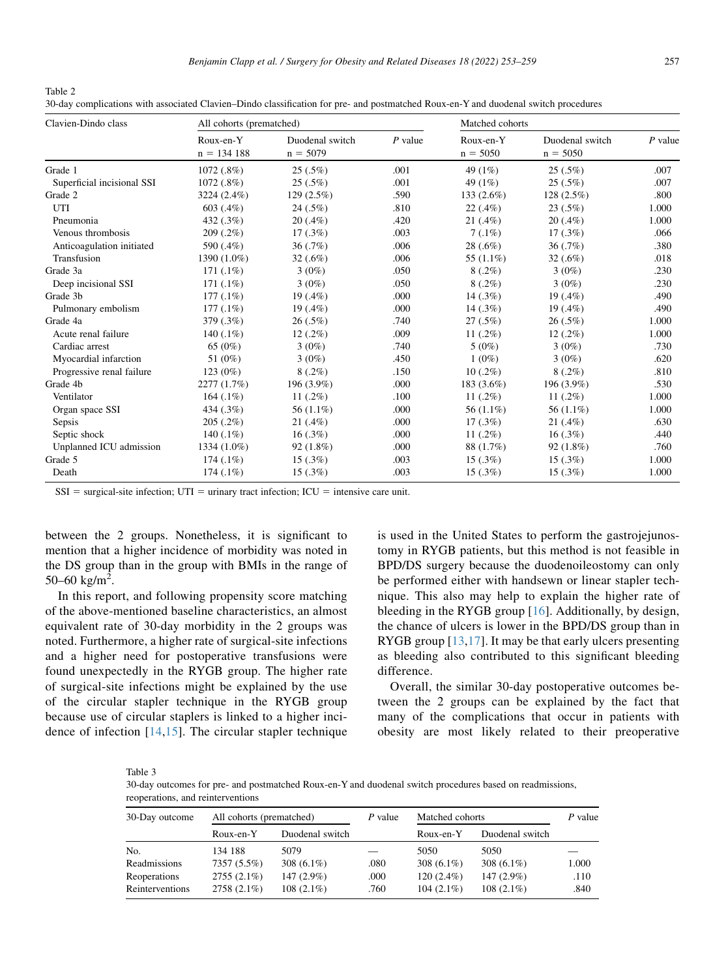<span id="page-4-0"></span>

| Table 2                                                                                                                             |  |
|-------------------------------------------------------------------------------------------------------------------------------------|--|
| 30-day complications with associated Clavien–Dindo classification for pre- and postmatched Roux-en-Y and duodenal switch procedures |  |

| Clavien-Dindo class        | All cohorts (prematched)  |                               |           | Matched cohorts         |                               |           |
|----------------------------|---------------------------|-------------------------------|-----------|-------------------------|-------------------------------|-----------|
|                            | Roux-en-Y<br>$n = 134188$ | Duodenal switch<br>$n = 5079$ | $P$ value | Roux-en-Y<br>$n = 5050$ | Duodenal switch<br>$n = 5050$ | $P$ value |
| Grade 1                    | 1072 (.8%)                | $25(.5\%)$                    | .001      | 49 (1%)                 | $25(.5\%)$                    | .007      |
| Superficial incisional SSI | 1072 (.8%)                | $25(.5\%)$                    | .001      | 49 (1%)                 | $25(.5\%)$                    | .007      |
| Grade 2                    | 3224 (2.4%)               | 129 (2.5%)                    | .590      | 133 (2.6%)              | 128(2.5%)                     | .800      |
| UTI                        | 603(.4%)                  | $24(.5\%)$                    | .810      | $22(.4\%)$              | $23(.5\%)$                    | 1.000     |
| Pneumonia                  | 432 (.3%)                 | $20(.4\%)$                    | .420      | $21(.4\%)$              | $20(.4\%)$                    | 1.000     |
| Venous thrombosis          | $209(.2\%)$               | $17(.3\%)$                    | .003      | $7(.1\%)$               | $17(0.3\%)$                   | .066      |
| Anticoagulation initiated  | 590 (.4%)                 | 36(.7%)                       | .006      | $28(.6\%)$              | 36(.7%)                       | .380      |
| Transfusion                | 1390 (1.0%)               | 32(.6%)                       | .006      | 55 (1.1%)               | 32(.6%)                       | .018      |
| Grade 3a                   | $171(.1\%)$               | $3(0\%)$                      | .050      | $8(.2\%)$               | $3(0\%)$                      | .230      |
| Deep incisional SSI        | $171(.1\%)$               | $3(0\%)$                      | .050      | $8(.2\%)$               | $3(0\%)$                      | .230      |
| Grade 3b                   | $177(.1\%)$               | 19 (.4%)                      | .000      | 14(.3%)                 | $19(.4\%)$                    | .490      |
| Pulmonary embolism         | $177(.1\%)$               | $19(0.4\%)$                   | .000      | 14(.3%)                 | $19(0.4\%)$                   | .490      |
| Grade 4a                   | 379 (.3%)                 | $26(.5\%)$                    | .740      | $27(.5\%)$              | $26(.5\%)$                    | 1.000     |
| Acute renal failure        | 140 $(.1\%)$              | $12(.2\%)$                    | .009      | 11 $(.2\%)$             | $12(.2\%)$                    | 1.000     |
| Cardiac arrest             | 65 (0%)                   | $3(0\%)$                      | .740      | $5(0\%)$                | $3(0\%)$                      | .730      |
| Myocardial infarction      | 51 (0%)                   | $3(0\%)$                      | .450      | $1(0\%)$                | $3(0\%)$                      | .620      |
| Progressive renal failure  | $123(0\%)$                | $8(.2\%)$                     | .150      | $10(.2\%)$              | $8(.2\%)$                     | .810      |
| Grade 4b                   | 2277 (1.7%)               | 196 (3.9%)                    | .000      | 183 (3.6%)              | 196 (3.9%)                    | .530      |
| Ventilator                 | $164(.1\%)$               | 11 $(.2\%)$                   | .100      | 11 $(.2\%)$             | 11 $(.2\%)$                   | 1.000     |
| Organ space SSI            | 434 (.3%)                 | 56 (1.1%)                     | .000      | 56 (1.1%)               | 56 (1.1%)                     | 1.000     |
| Sepsis                     | $205(.2\%)$               | $21(.4\%)$                    | .000      | $17(0.3\%)$             | 21(.4%)                       | .630      |
| Septic shock               | 140 $(.1\%)$              | 16(.3%)                       | .000      | 11 $(.2\%)$             | 16(.3%)                       | .440      |
| Unplanned ICU admission    | 1334 (1.0%)               | $92(1.8\%)$                   | .000      | 88 (1.7%)               | $92(1.8\%)$                   | .760      |
| Grade 5                    | $174(.1\%)$               | 15(.3%)                       | .003      | $15(.3\%)$              | $15(.3\%)$                    | 1.000     |
| Death                      | $174(.1\%)$               | 15(.3%)                       | .003      | 15(.3%)                 | $15(.3\%)$                    | 1.000     |

 $SSI$  = surgical-site infection;  $UTI$  = urinary tract infection;  $ICU$  = intensive care unit.

between the 2 groups. Nonetheless, it is significant to mention that a higher incidence of morbidity was noted in the DS group than in the group with BMIs in the range of 50–60 kg/m<sup>2</sup>.

In this report, and following propensity score matching of the above-mentioned baseline characteristics, an almost equivalent rate of 30-day morbidity in the 2 groups was noted. Furthermore, a higher rate of surgical-site infections and a higher need for postoperative transfusions were found unexpectedly in the RYGB group. The higher rate of surgical-site infections might be explained by the use of the circular stapler technique in the RYGB group because use of circular staplers is linked to a higher incidence of infection [\[14](#page-5-13),[15](#page-5-14)]. The circular stapler technique is used in the United States to perform the gastrojejunostomy in RYGB patients, but this method is not feasible in BPD/DS surgery because the duodenoileostomy can only be performed either with handsewn or linear stapler technique. This also may help to explain the higher rate of bleeding in the RYGB group [\[16\]](#page-6-0). Additionally, by design, the chance of ulcers is lower in the BPD/DS group than in RYGB group [[13](#page-5-12)[,17\]](#page-6-1). It may be that early ulcers presenting as bleeding also contributed to this significant bleeding difference.

Overall, the similar 30-day postoperative outcomes between the 2 groups can be explained by the fact that many of the complications that occur in patients with obesity are most likely related to their preoperative

<span id="page-4-1"></span>Table 3

30-day outcomes for pre- and postmatched Roux-en-Y and duodenal switch procedures based on readmissions, reoperations, and reinterventions

| 30-Day outcome         | All cohorts (prematched) |                 | $P$ value | Matched cohorts |                 | P value |
|------------------------|--------------------------|-----------------|-----------|-----------------|-----------------|---------|
|                        | $R$ oux-en- $Y$          | Duodenal switch |           | Roux-en-Y       | Duodenal switch |         |
| No.                    | 134 188                  | 5079            |           | 5050            | 5050            |         |
| Readmissions           | 7357 (5.5%)              | 308 $(6.1\%)$   | .080      | 308 $(6.1\%)$   | 308 $(6.1\%)$   | 1.000   |
| Reoperations           | $2755(2.1\%)$            | $147(2.9\%)$    | .000      | $120(2.4\%)$    | $147(2.9\%)$    | .110    |
| <b>Reinterventions</b> | 2758 (2.1%)              | $108(2.1\%)$    | .760      | $104(2.1\%)$    | $108(2.1\%)$    | .840    |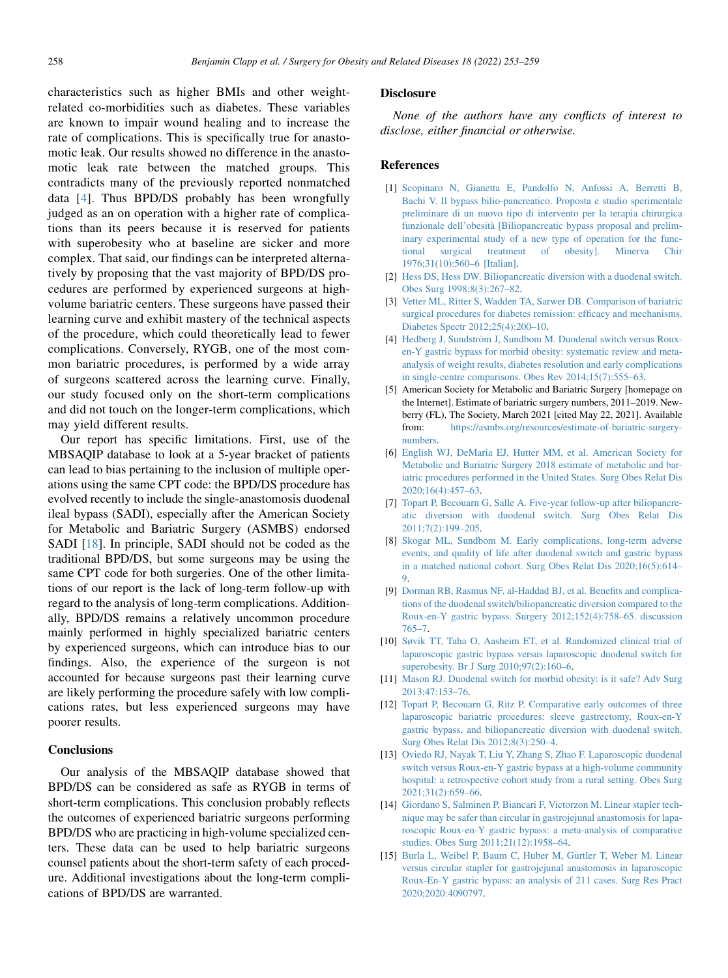characteristics such as higher BMIs and other weightrelated co-morbidities such as diabetes. These variables are known to impair wound healing and to increase the rate of complications. This is specifically true for anastomotic leak. Our results showed no difference in the anastomotic leak rate between the matched groups. This contradicts many of the previously reported nonmatched data [[4\]](#page-5-3). Thus BPD/DS probably has been wrongfully judged as an on operation with a higher rate of complications than its peers because it is reserved for patients with superobesity who at baseline are sicker and more complex. That said, our findings can be interpreted alternatively by proposing that the vast majority of BPD/DS procedures are performed by experienced surgeons at highvolume bariatric centers. These surgeons have passed their learning curve and exhibit mastery of the technical aspects of the procedure, which could theoretically lead to fewer complications. Conversely, RYGB, one of the most common bariatric procedures, is performed by a wide array of surgeons scattered across the learning curve. Finally, our study focused only on the short-term complications and did not touch on the longer-term complications, which may yield different results.

Our report has specific limitations. First, use of the MBSAQIP database to look at a 5-year bracket of patients can lead to bias pertaining to the inclusion of multiple operations using the same CPT code: the BPD/DS procedure has evolved recently to include the single-anastomosis duodenal ileal bypass (SADI), especially after the American Society for Metabolic and Bariatric Surgery (ASMBS) endorsed SADI [[18\]](#page-6-2). In principle, SADI should not be coded as the traditional BPD/DS, but some surgeons may be using the same CPT code for both surgeries. One of the other limitations of our report is the lack of long-term follow-up with regard to the analysis of long-term complications. Additionally, BPD/DS remains a relatively uncommon procedure mainly performed in highly specialized bariatric centers by experienced surgeons, which can introduce bias to our findings. Also, the experience of the surgeon is not accounted for because surgeons past their learning curve are likely performing the procedure safely with low complications rates, but less experienced surgeons may have poorer results.

### **Conclusions**

Our analysis of the MBSAQIP database showed that BPD/DS can be considered as safe as RYGB in terms of short-term complications. This conclusion probably reflects the outcomes of experienced bariatric surgeons performing BPD/DS who are practicing in high-volume specialized centers. These data can be used to help bariatric surgeons counsel patients about the short-term safety of each procedure. Additional investigations about the long-term complications of BPD/DS are warranted.

#### Disclosure

None of the authors have any conflicts of interest to disclose, either financial or otherwise.

#### References

- <span id="page-5-0"></span>[1] [Scopinaro N, Gianetta E, Pandolfo N, Anfossi A, Berretti B,](http://refhub.elsevier.com/S1550-7289(21)00512-8/sref1) [Bachi V. Il bypass bilio-pancreatico. Proposta e studio sperimentale](http://refhub.elsevier.com/S1550-7289(21)00512-8/sref1) [preliminare di un nuovo tipo di intervento per la terapia chirurgica](http://refhub.elsevier.com/S1550-7289(21)00512-8/sref1) [funzionale dell'obesit](http://refhub.elsevier.com/S1550-7289(21)00512-8/sref1)a [\[Biliopancreatic bypass proposal and prelim](http://refhub.elsevier.com/S1550-7289(21)00512-8/sref1)[inary experimental study of a new type of operation for the func](http://refhub.elsevier.com/S1550-7289(21)00512-8/sref1)[tional surgical treatment of obesity\]. Minerva Chir](http://refhub.elsevier.com/S1550-7289(21)00512-8/sref1) [1976;31\(10\):560–6 \[Italian\].](http://refhub.elsevier.com/S1550-7289(21)00512-8/sref1)
- <span id="page-5-1"></span>[2] [Hess DS, Hess DW. Biliopancreatic diversion with a duodenal switch.](http://refhub.elsevier.com/S1550-7289(21)00512-8/sref2) [Obes Surg 1998;8\(3\):267–82](http://refhub.elsevier.com/S1550-7289(21)00512-8/sref2).
- <span id="page-5-2"></span>[3] [Vetter ML, Ritter S, Wadden TA, Sarwer DB. Comparison of bariatric](http://refhub.elsevier.com/S1550-7289(21)00512-8/sref3) [surgical procedures for diabetes remission: efficacy and mechanisms.](http://refhub.elsevier.com/S1550-7289(21)00512-8/sref3) [Diabetes Spectr 2012;25\(4\):200–10](http://refhub.elsevier.com/S1550-7289(21)00512-8/sref3).
- <span id="page-5-3"></span>[4] [Hedberg J, Sundstr](http://refhub.elsevier.com/S1550-7289(21)00512-8/sref4)öm J, Sundbom M. Duodenal switch versus Roux[en-Y gastric bypass for morbid obesity: systematic review and meta](http://refhub.elsevier.com/S1550-7289(21)00512-8/sref4)[analysis of weight results, diabetes resolution and early complications](http://refhub.elsevier.com/S1550-7289(21)00512-8/sref4) [in single-centre comparisons. Obes Rev 2014;15\(7\):555–63](http://refhub.elsevier.com/S1550-7289(21)00512-8/sref4).
- <span id="page-5-4"></span>[5] American Society for Metabolic and Bariatric Surgery [homepage on the Internet]. Estimate of bariatric surgery numbers, 2011–2019. Newberry (FL), The Society, March 2021 [cited May 22, 2021]. Available from: [https://asmbs.org/resources/estimate-of-bariatric-surgery](https://asmbs.org/resources/estimate-of-bariatric-surgery-numbers)[numbers.](https://asmbs.org/resources/estimate-of-bariatric-surgery-numbers)
- <span id="page-5-5"></span>[6] [English WJ, DeMaria EJ, Hutter MM, et al. American Society for](http://refhub.elsevier.com/S1550-7289(21)00512-8/sref6) [Metabolic and Bariatric Surgery 2018 estimate of metabolic and bar](http://refhub.elsevier.com/S1550-7289(21)00512-8/sref6)[iatric procedures performed in the United States. Surg Obes Relat Dis](http://refhub.elsevier.com/S1550-7289(21)00512-8/sref6) [2020;16\(4\):457–63.](http://refhub.elsevier.com/S1550-7289(21)00512-8/sref6)
- <span id="page-5-6"></span>[7] [Topart P, Becouarn G, Salle A. Five-year follow-up after biliopancre](http://refhub.elsevier.com/S1550-7289(21)00512-8/sref7)[atic diversion with duodenal switch. Surg Obes Relat Dis](http://refhub.elsevier.com/S1550-7289(21)00512-8/sref7) [2011;7\(2\):199–205.](http://refhub.elsevier.com/S1550-7289(21)00512-8/sref7)
- <span id="page-5-7"></span>[8] [Skogar ML, Sundbom M. Early complications, long-term adverse](http://refhub.elsevier.com/S1550-7289(21)00512-8/sref8) [events, and quality of life after duodenal switch and gastric bypass](http://refhub.elsevier.com/S1550-7289(21)00512-8/sref8) [in a matched national cohort. Surg Obes Relat Dis 2020;16\(5\):614–](http://refhub.elsevier.com/S1550-7289(21)00512-8/sref8) [9](http://refhub.elsevier.com/S1550-7289(21)00512-8/sref8).
- <span id="page-5-8"></span>[9] [Dorman RB, Rasmus NF, al-Haddad BJ, et al. Benefits and complica](http://refhub.elsevier.com/S1550-7289(21)00512-8/sref9)[tions of the duodenal switch/biliopancreatic diversion compared to the](http://refhub.elsevier.com/S1550-7289(21)00512-8/sref9) [Roux-en-Y gastric bypass. Surgery 2012;152\(4\):758–65. discussion](http://refhub.elsevier.com/S1550-7289(21)00512-8/sref9) [765–7](http://refhub.elsevier.com/S1550-7289(21)00512-8/sref9).
- <span id="page-5-9"></span>[10] [Søvik TT, Taha O, Aasheim ET, et al. Randomized clinical trial of](http://refhub.elsevier.com/S1550-7289(21)00512-8/sref10) [laparoscopic gastric bypass versus laparoscopic duodenal switch for](http://refhub.elsevier.com/S1550-7289(21)00512-8/sref10) [superobesity. Br J Surg 2010;97\(2\):160–6](http://refhub.elsevier.com/S1550-7289(21)00512-8/sref10).
- <span id="page-5-10"></span>[11] [Mason RJ. Duodenal switch for morbid obesity: is it safe? Adv Surg](http://refhub.elsevier.com/S1550-7289(21)00512-8/sref11) [2013;47:153–76](http://refhub.elsevier.com/S1550-7289(21)00512-8/sref11).
- <span id="page-5-11"></span>[12] [Topart P, Becouarn G, Ritz P. Comparative early outcomes of three](http://refhub.elsevier.com/S1550-7289(21)00512-8/sref12) [laparoscopic bariatric procedures: sleeve gastrectomy, Roux-en-Y](http://refhub.elsevier.com/S1550-7289(21)00512-8/sref12) [gastric bypass, and biliopancreatic diversion with duodenal switch.](http://refhub.elsevier.com/S1550-7289(21)00512-8/sref12) [Surg Obes Relat Dis 2012;8\(3\):250–4.](http://refhub.elsevier.com/S1550-7289(21)00512-8/sref12)
- <span id="page-5-12"></span>[13] [Oviedo RJ, Nayak T, Liu Y, Zhang S, Zhao F. Laparoscopic duodenal](http://refhub.elsevier.com/S1550-7289(21)00512-8/sref13) [switch versus Roux-en-Y gastric bypass at a high-volume community](http://refhub.elsevier.com/S1550-7289(21)00512-8/sref13) [hospital: a retrospective cohort study from a rural setting. Obes Surg](http://refhub.elsevier.com/S1550-7289(21)00512-8/sref13) [2021;31\(2\):659–66.](http://refhub.elsevier.com/S1550-7289(21)00512-8/sref13)
- <span id="page-5-13"></span>[14] [Giordano S, Salminen P, Biancari F, Victorzon M. Linear stapler tech](http://refhub.elsevier.com/S1550-7289(21)00512-8/sref14)[nique may be safer than circular in gastrojejunal anastomosis for lapa](http://refhub.elsevier.com/S1550-7289(21)00512-8/sref14)[roscopic Roux-en-Y gastric bypass: a meta-analysis of comparative](http://refhub.elsevier.com/S1550-7289(21)00512-8/sref14) [studies. Obes Surg 2011;21\(12\):1958–64.](http://refhub.elsevier.com/S1550-7289(21)00512-8/sref14)
- <span id="page-5-14"></span>[15] [Burla L, Weibel P, Baum C, Huber M, G](http://refhub.elsevier.com/S1550-7289(21)00512-8/sref15)ü[rtler T, Weber M. Linear](http://refhub.elsevier.com/S1550-7289(21)00512-8/sref15) [versus circular stapler for gastrojejunal anastomosis in laparoscopic](http://refhub.elsevier.com/S1550-7289(21)00512-8/sref15) [Roux-En-Y gastric bypass: an analysis of 211 cases. Surg Res Pract](http://refhub.elsevier.com/S1550-7289(21)00512-8/sref15) [2020;2020:4090797](http://refhub.elsevier.com/S1550-7289(21)00512-8/sref15).